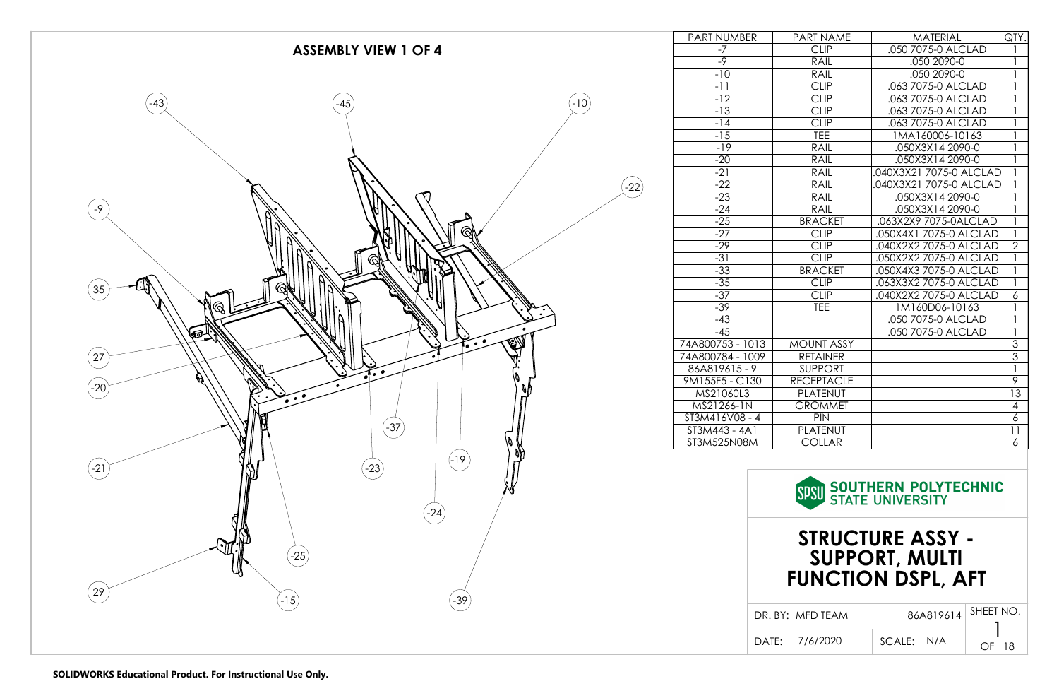

| <b>NUMBER</b>     | PART NAME         | <b>MATERIAL</b>         | QTY.           |
|-------------------|-------------------|-------------------------|----------------|
| $-7$              | <b>CLIP</b>       | .050 7075-0 ALCLAD      | 1              |
| $-9$              | RAIL              | .050 2090-0             | $\mathbf{1}$   |
| $-10$             | RAIL              | .050 2090-0             | 1              |
| $-11$             | <b>CLIP</b>       | .063 7075-0 ALCLAD      | 1              |
| $-12$             | <b>CLIP</b>       | .063 7075-0 ALCLAD      | 1              |
| $-13$             | <b>CLIP</b>       | .063 7075-0 ALCLAD      | 1              |
| $-14$             | <b>CLIP</b>       | .063 7075-0 ALCLAD      | 1              |
| $-15$             | <b>TEE</b>        | 1MA160006-10163         | 1              |
| $-19$             | <b>RAIL</b>       | .050X3X14 2090-0        | 1              |
| $-20$             | <b>RAIL</b>       | .050X3X14 2090-0        | 1              |
| $-21$             | RAIL              | .040X3X21 7075-0 ALCLAD | 1              |
| $-22$             | <b>RAIL</b>       | .040X3X21 7075-0 ALCLAD | 1              |
| $-23$             | <b>RAIL</b>       | .050X3X14 2090-0        | 1              |
| $-24$             | <b>RAIL</b>       | .050X3X14 2090-0        | 1              |
| $-25$             | <b>BRACKET</b>    | .063X2X9 7075-0ALCLAD   | $\mathbf{1}$   |
| $-27$             | <b>CLIP</b>       | .050X4X1 7075-0 ALCLAD  | $\mathbf{1}$   |
| $-29$             | <b>CLIP</b>       | .040X2X2 7075-0 ALCLAD  | $\overline{2}$ |
| $-31$             | <b>CLIP</b>       | .050X2X2 7075-0 ALCLAD  | 1              |
| $-33$             | <b>BRACKET</b>    | .050X4X3 7075-0 ALCLAD  | 1              |
| $-35$             | <b>CLIP</b>       | .063X3X2 7075-0 ALCLAD  | 1              |
| $-37$             | <b>CLIP</b>       | .040X2X2 7075-0 ALCLAD  | 6              |
| $-39$             | <b>TEE</b>        | 1M160D06-10163          | 1              |
| $-43$             |                   | .050 7075-0 ALCLAD      | 1              |
| $-45$             |                   | .050 7075-0 ALCLAD      | 1              |
| )753 - 1013       | <b>MOUNT ASSY</b> |                         | 3              |
| 1784 - 1009       | <b>RETAINER</b>   |                         | $\overline{3}$ |
| $19615 - 9$       | <b>SUPPORT</b>    |                         | $\mathbf{1}$   |
| <b>SF5 - C130</b> | <b>RECEPTACLE</b> |                         | 9              |
| 21060L3           | PLATENUT          |                         | 13             |
| 1266-1N           | <b>GROMMET</b>    |                         | 4              |
| 16V08 - 4         | <b>PIN</b>        |                         | 6              |
| 443 - 4A1         | PLATENUT          |                         | 11             |
| 525N08M           | <b>COLLAR</b>     |                         | 6              |
|                   |                   |                         |                |

**SOUTHERN POLYTECHNIC**<br>STATE UNIVERSITY **SPSU** 

DR. BY: MFD TEAM

86A819614

SHEET NO.

DATE: 7/6/2020 | SCALE:

SCALE: N/A

1 OF 18

# **STRUCTURE ASSY - SUPPORT, MULTI FUNCTION DSPL, AFT**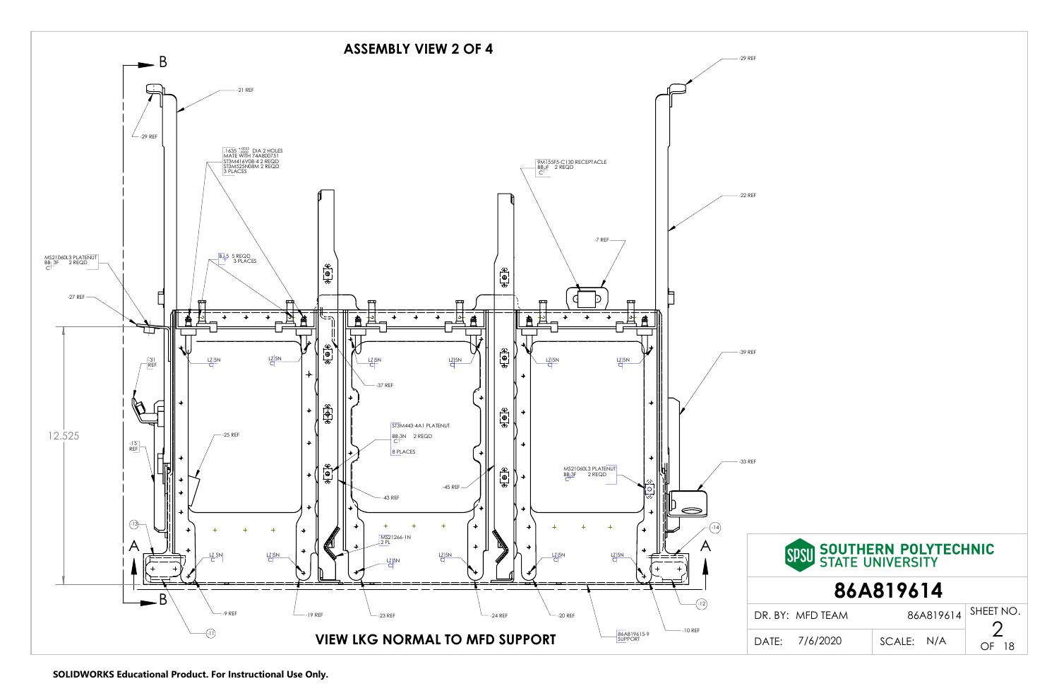

**SOLIDWORKS Educational Product. For Instructional Use Only.**

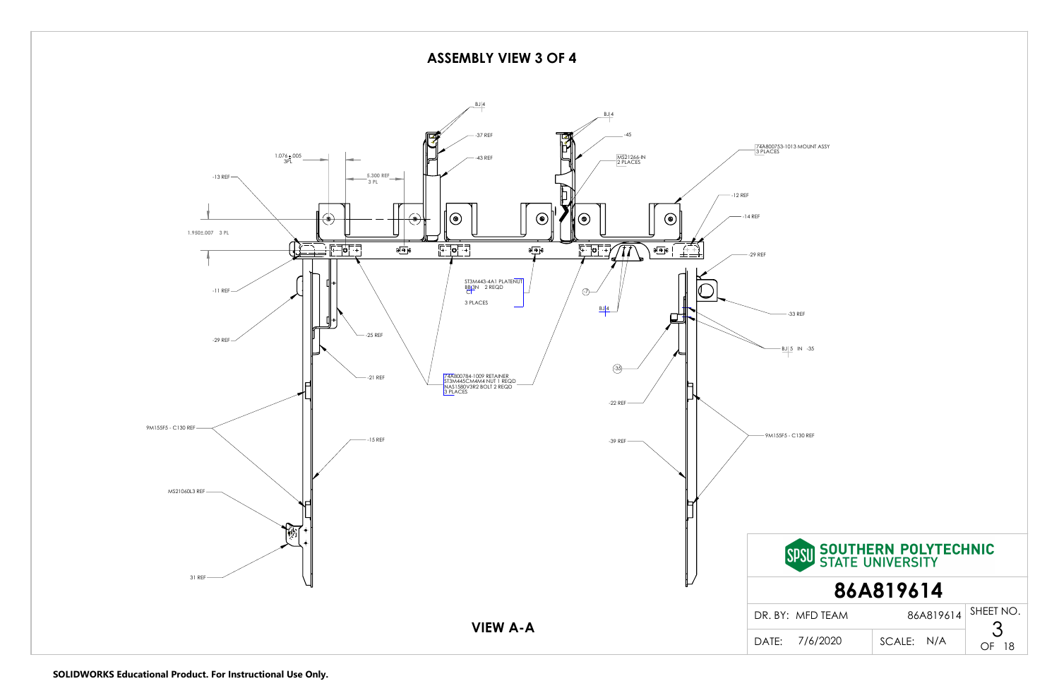**ASSEMBLY VIEW 3 OF 4**



3 SHEET NO.

OF 18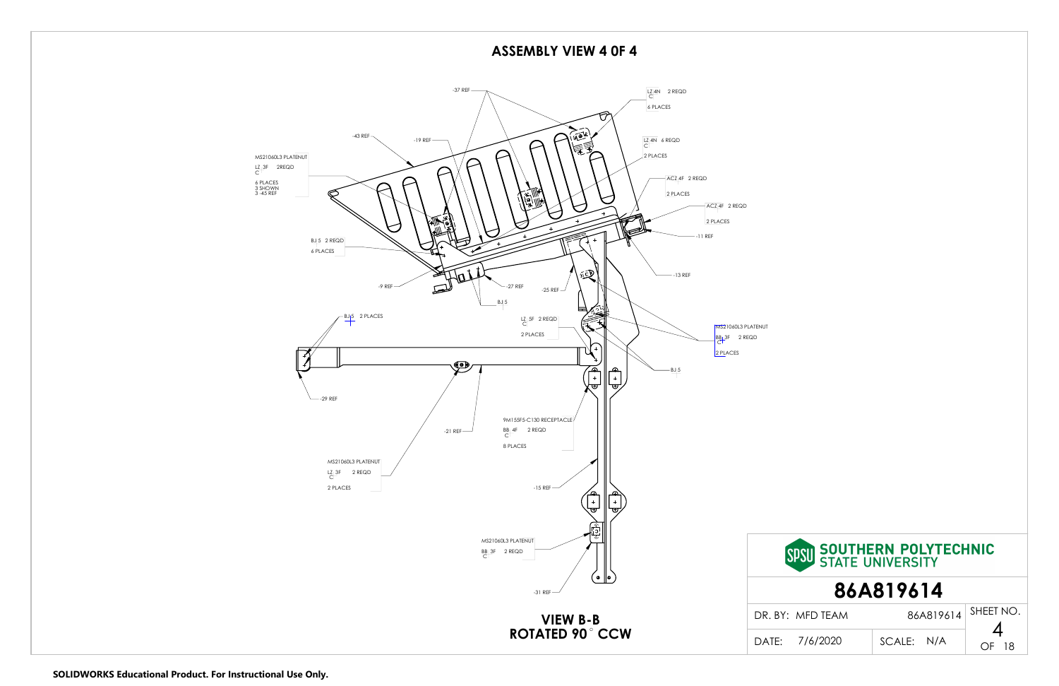

### **ASSEMBLY VIEW 4 0F 4**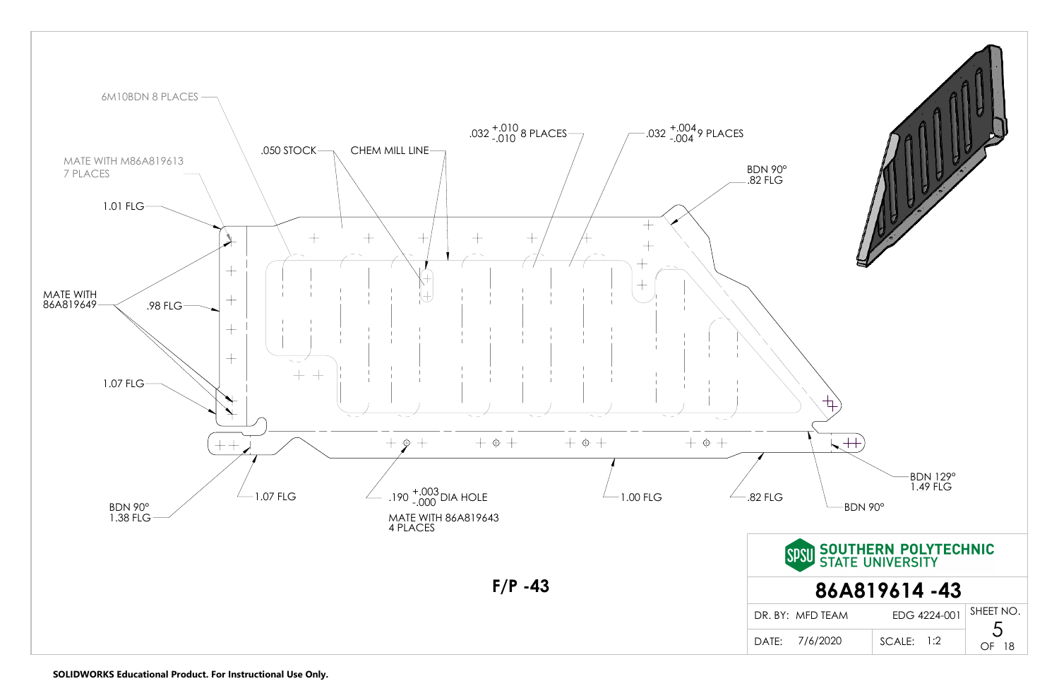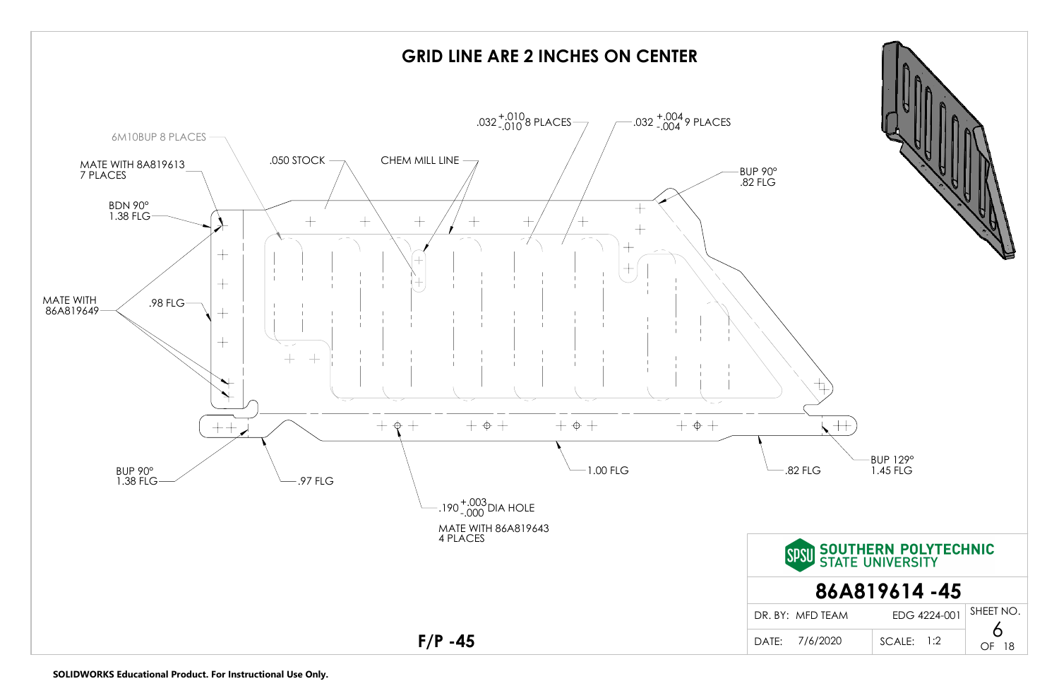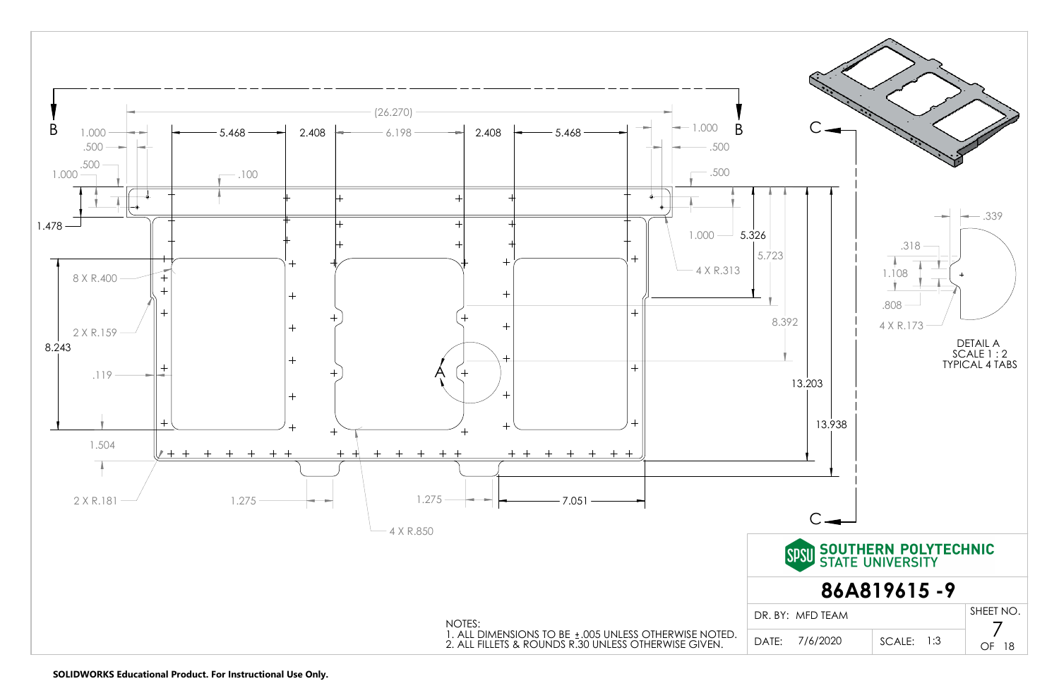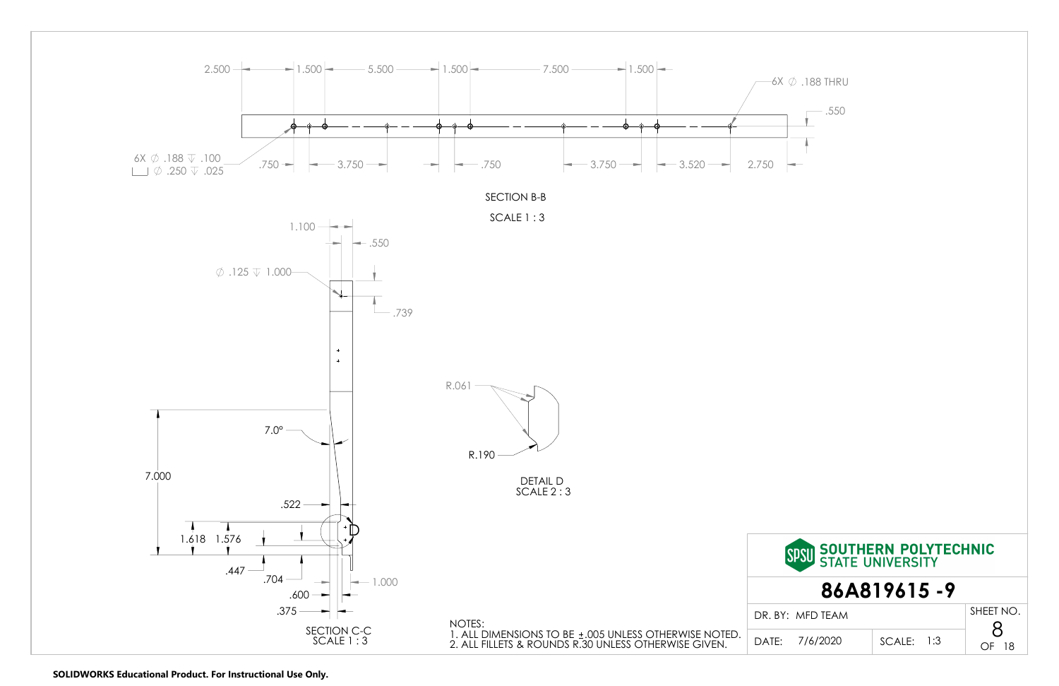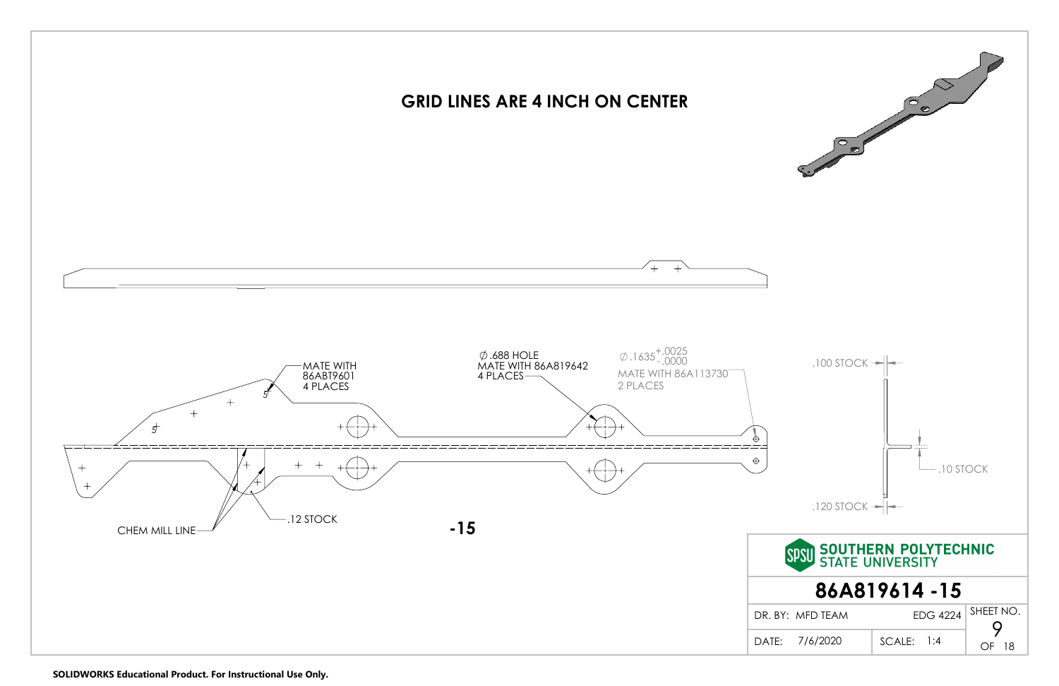

**SOLIDWORKS Educational Product. For Instructional Use Only.**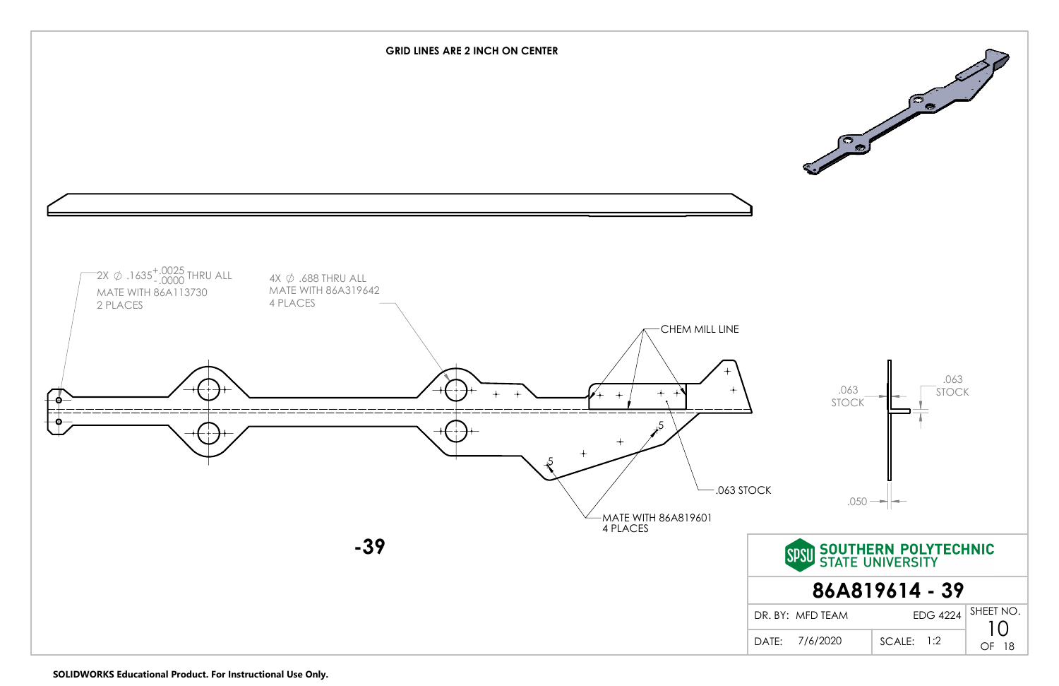

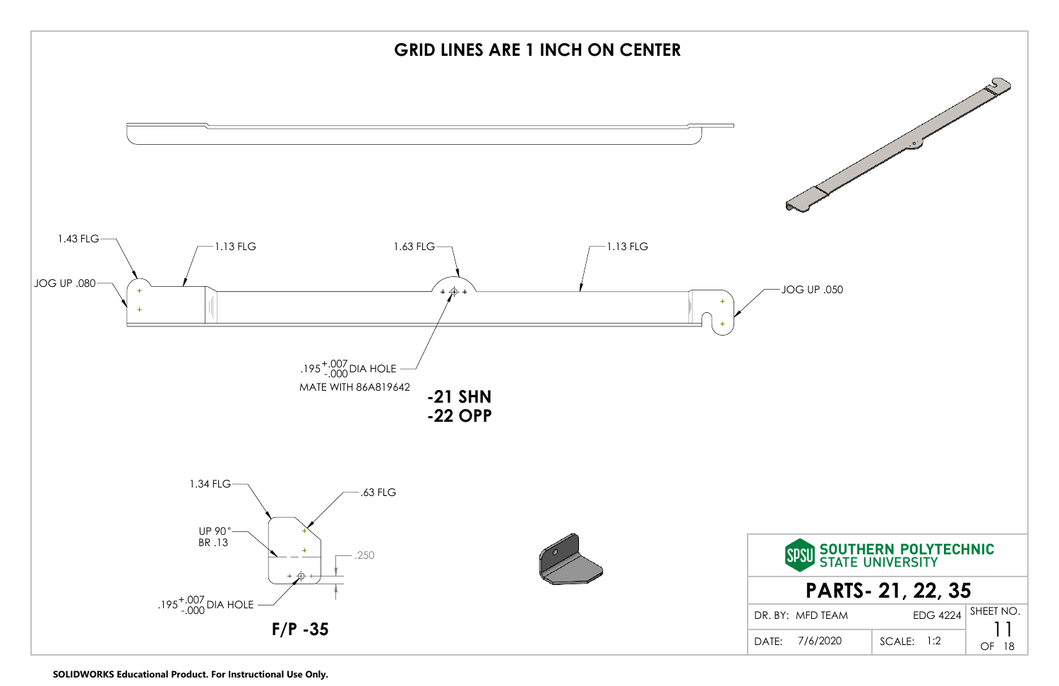

**SOLIDWORKS Educational Product. For Instructional Use Only.**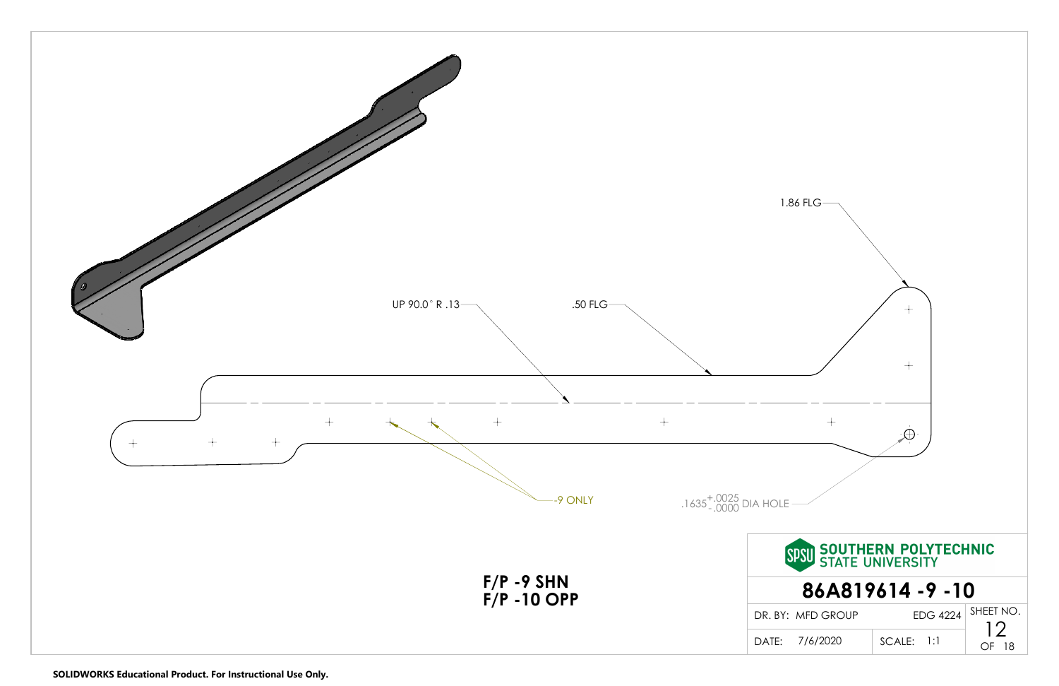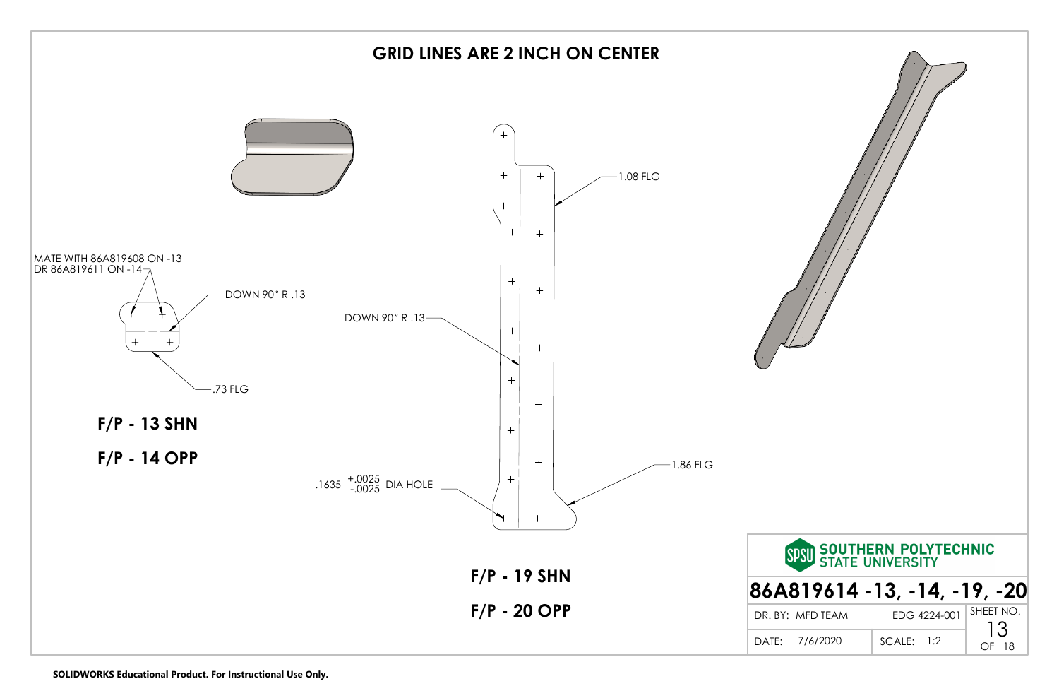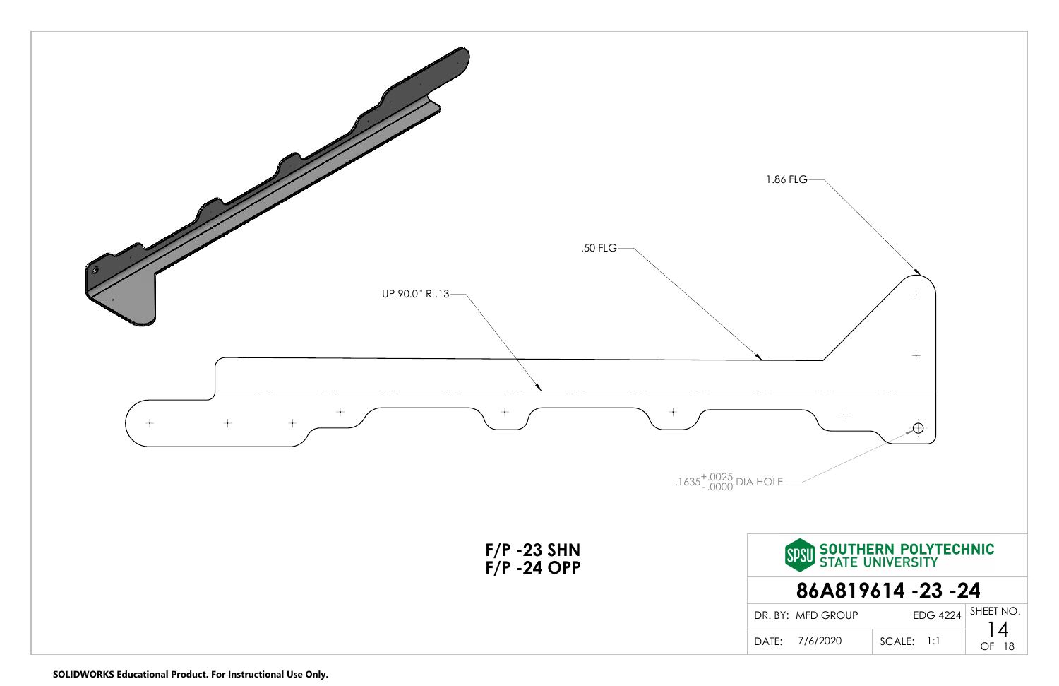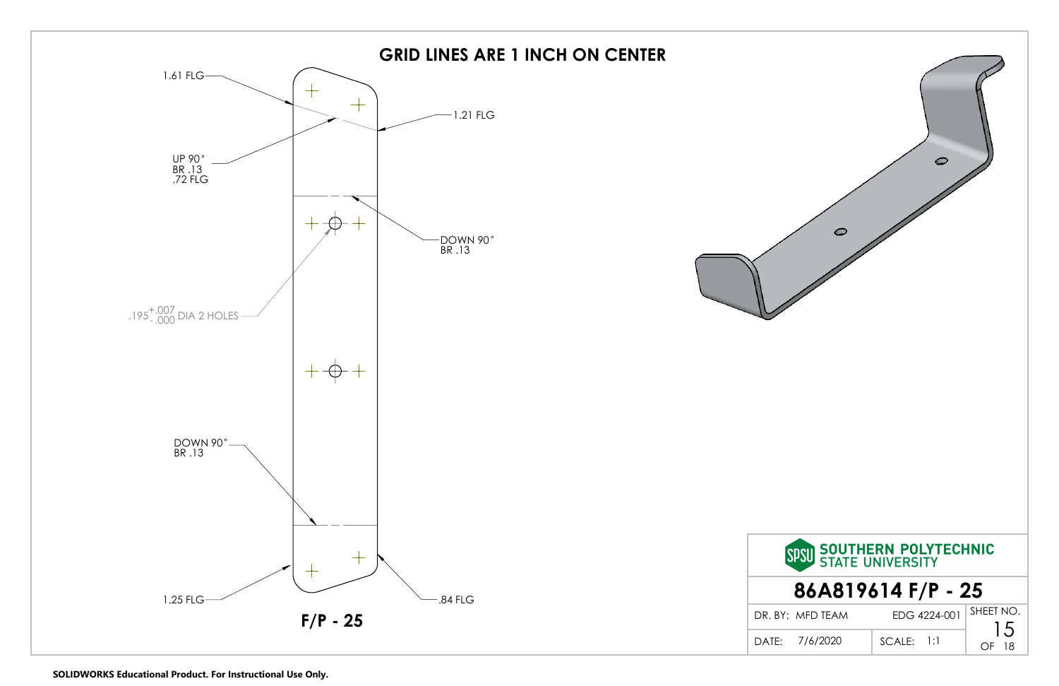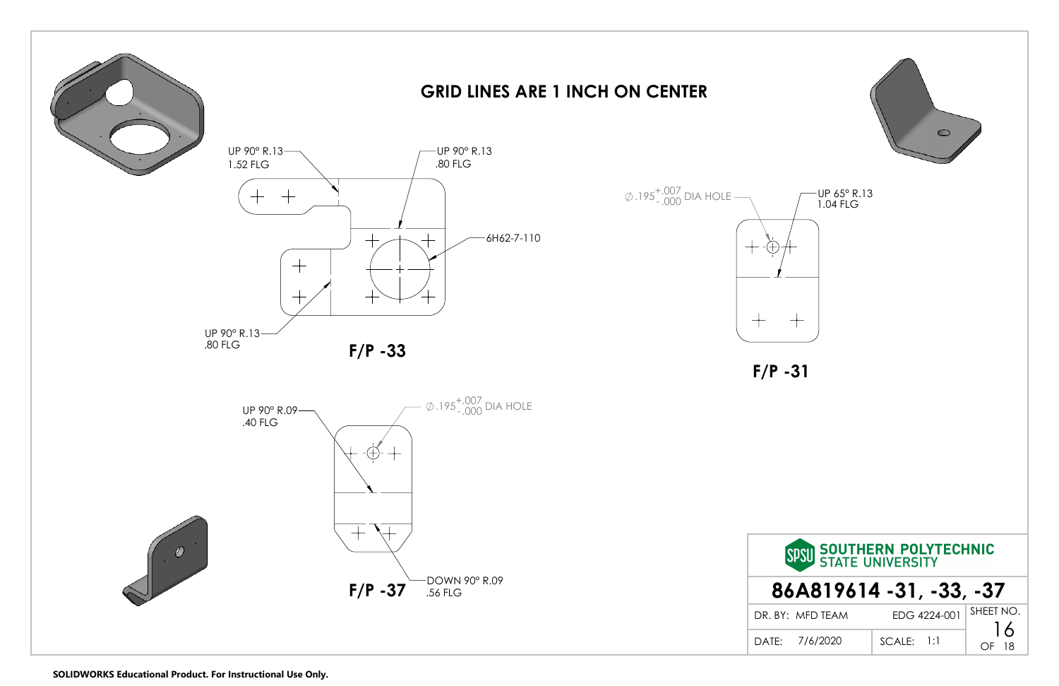





## **GRID LINES ARE 1 INCH ON CENTER**

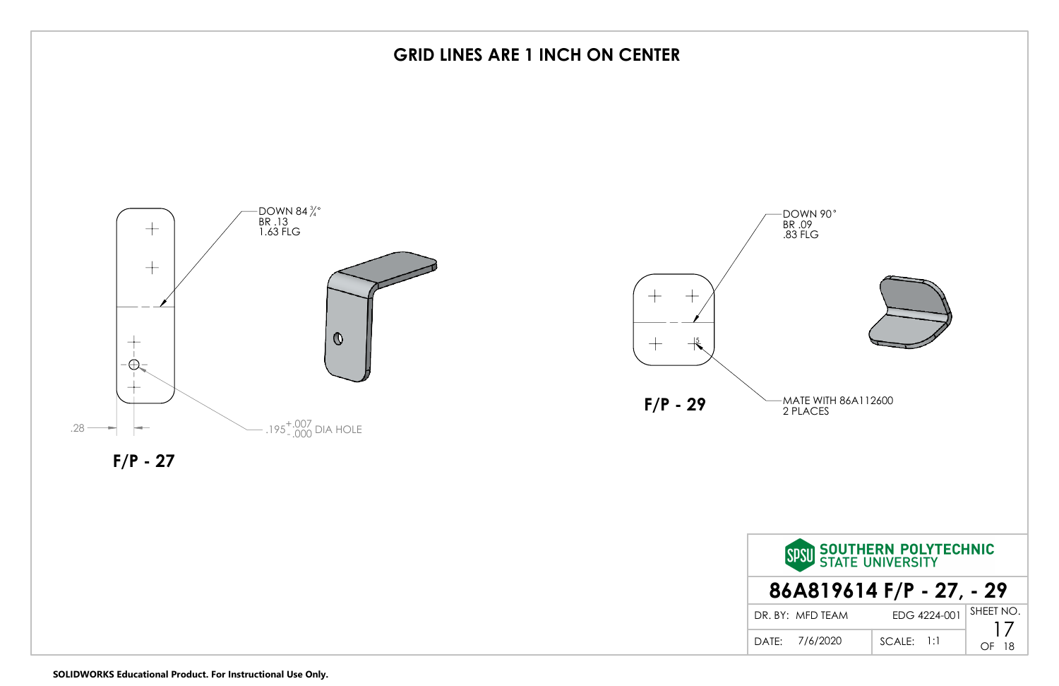

DOWN 90 BR .09 .83 FLG

## **GRID LINES ARE 1 INCH ON CENTER**



| SPSU SOUTHERN POLYTECHNIC |              |           |  |  |  |
|---------------------------|--------------|-----------|--|--|--|
| 86A819614 F/P - 27, - 29  |              |           |  |  |  |
| DR. BY: MFD TFAM          | EDG 4224-001 | SHEET NO. |  |  |  |
| DATF: 7/6/2020            | $SCALE:$ 1:1 |           |  |  |  |



**SOLIDWORKS Educational Product. For Instructional Use Only.**